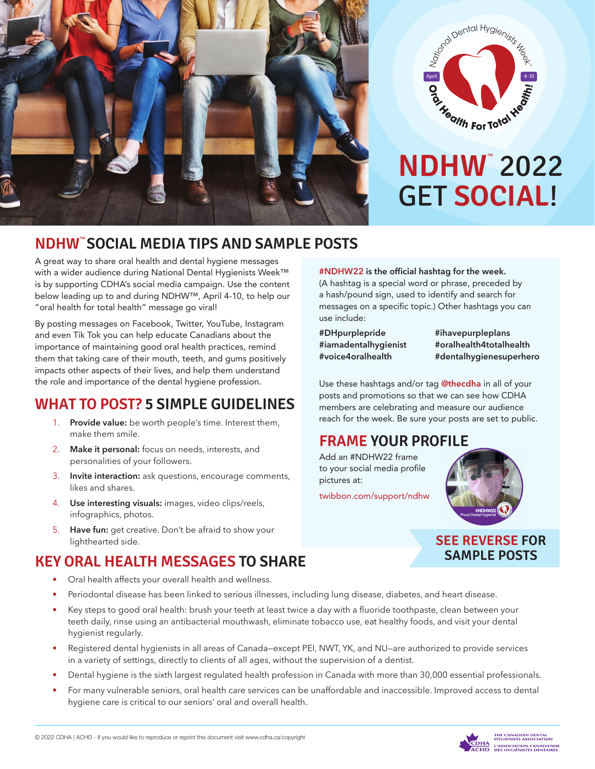



# GET **SOCIAL**! **NDHW**™ 2022

### **NDHW**™ **SOCIAL MEDIA TIPS AND SAMPLE POSTS**

A great way to share oral health and dental hygiene messages with a wider audience during National Dental Hygienists Week™ is by supporting CDHA's social media campaign. Use the content below leading up to and during NDHW™, April 4-10, to help our "oral health for total health" message go viral!

By posting messages on Facebook, Twitter, YouTube, Instagram and even Tik Tok you can help educate Canadians about the importance of maintaining good oral health practices, remind them that taking care of their mouth, teeth, and gums positively impacts other aspects of their lives, and help them understand the role and importance of the dental hygiene profession.

# **WHAT TO POST? 5 SIMPLE GUIDELINES**

- 1. **Provide value:** be worth people's time. Interest them, make them smile.
- 2. **Make it personal:** focus on needs, interests, and personalities of your followers.
- 3. **Invite interaction:** ask questions, encourage comments, likes and shares.
- 4. **Use interesting visuals:** images, video clips/reels, infographics, photos.
- 5. **Have fun:** get creative. Don't be afraid to show your lighthearted side.

# **KEY ORAL HEALTH MESSAGES TO SHARE**

- Oral health affects your overall health and wellness.
- Periodontal disease has been linked to serious illnesses, including lung disease, diabetes, and heart disease.
- Key steps to good oral health: brush your teeth at least twice a day with a fluoride toothpaste, clean between your teeth daily, rinse using an antibacterial mouthwash, eliminate tobacco use, eat healthy foods, and visit your dental hygienist regularly.
- Registered dental hygienists in all areas of Canada—except PEI, NWT, YK, and NU—are authorized to provide services in a variety of settings, directly to clients of all ages, without the supervision of a dentist.
- Dental hygiene is the sixth largest regulated health profession in Canada with more than 30,000 essential professionals.
- For many vulnerable seniors, oral health care services can be unaffordable and inaccessible. Improved access to dental hygiene care is critical to our seniors' oral and overall health.

**#NDHW22 is the official hashtag for the week.** (A hashtag is a special word or phrase, preceded by a hash/pound sign, used to identify and search for messages on a specific topic.) Other hashtags you can use include:

**#DHpurplepride #iamadentalhygienist #voice4oralhealth**

**#ihavepurpleplans #oralhealth4totalhealth #dentalhygienesuperhero**

Use these hashtags and/or tag **@thecdha** in all of your posts and promotions so that we can see how CDHA members are celebrating and measure our audience reach for the week. Be sure your posts are set to public.

# **FRAME YOUR PROFILE**

Add an #NDHW22 frame to your social media profile pictures at:

[twibbon.com/support/ndhw](https://twibbon.com/support/ndhw17-april-8-14)



#### **SEE REVERSE FOR SAMPLE POSTS**